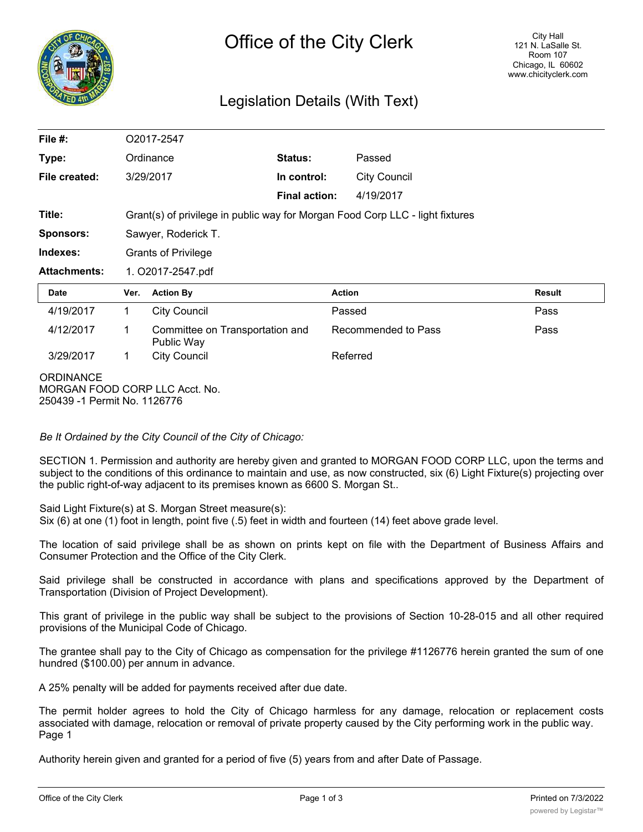

## Legislation Details (With Text)

| File #:             |                                                                               | O2017-2547                                    |                      |                     |               |
|---------------------|-------------------------------------------------------------------------------|-----------------------------------------------|----------------------|---------------------|---------------|
| Type:               |                                                                               | Ordinance                                     | Status:              | Passed              |               |
| File created:       |                                                                               | 3/29/2017                                     | In control:          | <b>City Council</b> |               |
|                     |                                                                               |                                               | <b>Final action:</b> | 4/19/2017           |               |
| Title:              | Grant(s) of privilege in public way for Morgan Food Corp LLC - light fixtures |                                               |                      |                     |               |
| <b>Sponsors:</b>    | Sawyer, Roderick T.                                                           |                                               |                      |                     |               |
| Indexes:            | <b>Grants of Privilege</b>                                                    |                                               |                      |                     |               |
| <b>Attachments:</b> | 1. O2017-2547.pdf                                                             |                                               |                      |                     |               |
|                     |                                                                               |                                               | <b>Action</b>        |                     | <b>Result</b> |
| <b>Date</b>         | Ver.                                                                          | <b>Action By</b>                              |                      |                     |               |
| 4/19/2017           | 1                                                                             | <b>City Council</b>                           | Passed               |                     | Pass          |
| 4/12/2017           | 1                                                                             | Committee on Transportation and<br>Public Way |                      | Recommended to Pass | Pass          |
| 3/29/2017           | 1                                                                             | <b>City Council</b>                           | Referred             |                     |               |

*Be It Ordained by the City Council of the City of Chicago:*

SECTION 1. Permission and authority are hereby given and granted to MORGAN FOOD CORP LLC, upon the terms and subject to the conditions of this ordinance to maintain and use, as now constructed, six (6) Light Fixture(s) projecting over the public right-of-way adjacent to its premises known as 6600 S. Morgan St..

Said Light Fixture(s) at S. Morgan Street measure(s):

Six (6) at one (1) foot in length, point five (.5) feet in width and fourteen (14) feet above grade level.

The location of said privilege shall be as shown on prints kept on file with the Department of Business Affairs and Consumer Protection and the Office of the City Clerk.

Said privilege shall be constructed in accordance with plans and specifications approved by the Department of Transportation (Division of Project Development).

This grant of privilege in the public way shall be subject to the provisions of Section 10-28-015 and all other required provisions of the Municipal Code of Chicago.

The grantee shall pay to the City of Chicago as compensation for the privilege #1126776 herein granted the sum of one hundred (\$100.00) per annum in advance.

A 25% penalty will be added for payments received after due date.

The permit holder agrees to hold the City of Chicago harmless for any damage, relocation or replacement costs associated with damage, relocation or removal of private property caused by the City performing work in the public way. Page 1

Authority herein given and granted for a period of five (5) years from and after Date of Passage.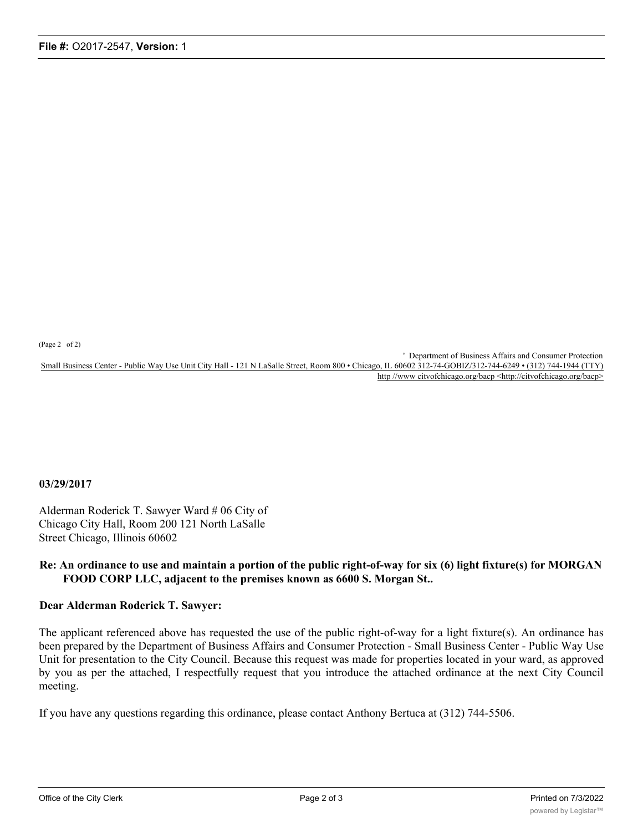(Page 2 of 2)

' Department of Business Affairs and Consumer Protection Small Business Center - Public Way Use Unit City Hall - 121 N LaSalle Street, Room 800 • Chicago, IL 60602 312-74-GOBIZ/312-744-6249 • (312) 744-1944 (TTY) http //www citvofchicago.org/bacp <http://citvofchicago.org/bacp>

## **03/29/2017**

Alderman Roderick T. Sawyer Ward # 06 City of Chicago City Hall, Room 200 121 North LaSalle Street Chicago, Illinois 60602

## **Re: An ordinance to use and maintain a portion of the public right-of-way for six (6) light fixture(s) for MORGAN FOOD CORP LLC, adjacent to the premises known as 6600 S. Morgan St..**

## **Dear Alderman Roderick T. Sawyer:**

The applicant referenced above has requested the use of the public right-of-way for a light fixture(s). An ordinance has been prepared by the Department of Business Affairs and Consumer Protection - Small Business Center - Public Way Use Unit for presentation to the City Council. Because this request was made for properties located in your ward, as approved by you as per the attached, I respectfully request that you introduce the attached ordinance at the next City Council meeting.

If you have any questions regarding this ordinance, please contact Anthony Bertuca at (312) 744-5506.